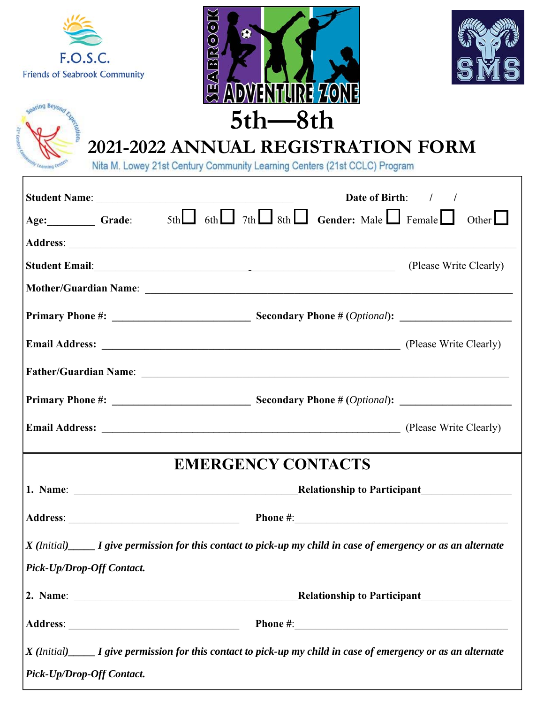| F.O.S.C.<br><b>Friends of Seabrook Community</b> | $\left( \circ \right)$<br>$\frac{1}{2}$<br><b>ADWENHILRE 740NE</b><br>$5th$ $-8th$<br>2021-2022 ANNUAL REGISTRATION FORM<br>Nita M. Lowey 21st Century Community Learning Centers (21st CCLC) Program |                        |
|--------------------------------------------------|-------------------------------------------------------------------------------------------------------------------------------------------------------------------------------------------------------|------------------------|
|                                                  |                                                                                                                                                                                                       | Date of Birth: / /     |
|                                                  | Age: Grade: $5th$ of $\Box$ $7th$ $\Box$ $8th$ $\Box$ Gender: Male $\Box$ Female $\Box$ Other $\Box$                                                                                                  |                        |
|                                                  |                                                                                                                                                                                                       |                        |
|                                                  |                                                                                                                                                                                                       | (Please Write Clearly) |
|                                                  |                                                                                                                                                                                                       |                        |
|                                                  |                                                                                                                                                                                                       |                        |
|                                                  |                                                                                                                                                                                                       |                        |
|                                                  |                                                                                                                                                                                                       |                        |
| <b>Primary Phone #:</b>                          | <b>Secondary Phone # (Optional):</b>                                                                                                                                                                  |                        |
|                                                  |                                                                                                                                                                                                       |                        |
|                                                  | <b>EMERGENCY CONTACTS</b>                                                                                                                                                                             |                        |
|                                                  |                                                                                                                                                                                                       |                        |
|                                                  |                                                                                                                                                                                                       |                        |
|                                                  | $X$ (Initial) $\_\_\_\_$ I give permission for this contact to pick-up my child in case of emergency or as an alternate                                                                               |                        |
| Pick-Up/Drop-Off Contact.                        |                                                                                                                                                                                                       |                        |
|                                                  |                                                                                                                                                                                                       |                        |
|                                                  |                                                                                                                                                                                                       |                        |
|                                                  | $X$ (Initial) $\_\_\_\_$ I give permission for this contact to pick-up my child in case of emergency or as an alternate                                                                               |                        |
| Pick-Up/Drop-Off Contact.                        |                                                                                                                                                                                                       |                        |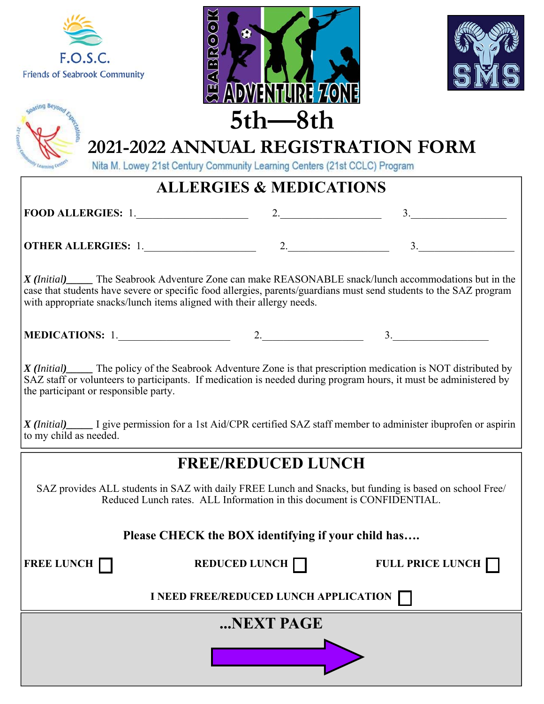

coaring Beyono





# **2021-2022 ANNUAL REGISTRATION FORM**

Nita M. Lowey 21st Century Community Learning Centers (21st CCLC) Program

#### **ALLERGIES & MEDICATIONS**

**FOOD ALLERGIES:** 1.\_\_\_\_\_\_\_\_\_\_\_\_\_\_\_\_\_\_\_\_\_ 2.\_\_\_\_\_\_\_\_\_\_\_\_\_\_\_\_\_\_\_ 3.\_\_\_\_\_\_\_\_\_\_\_\_\_\_\_\_\_\_

**OTHER ALLERGIES:** 1.\_\_\_\_\_\_\_\_\_\_\_\_\_\_\_\_\_\_\_\_\_ 2.\_\_\_\_\_\_\_\_\_\_\_\_\_\_\_\_\_\_\_ 3.\_\_\_\_\_\_\_\_\_\_\_\_\_\_\_\_\_\_

*X (Initial)\_\_\_\_\_* The Seabrook Adventure Zone can make REASONABLE snack/lunch accommodations but in the case that students have severe or specific food allergies, parents/guardians must send students to the SAZ program with appropriate snacks/lunch items aligned with their allergy needs.

| <b>MEDICATIONS:</b> |  |  |
|---------------------|--|--|
|---------------------|--|--|

*X (Initial)\_\_\_\_\_* The policy of the Seabrook Adventure Zone is that prescription medication is NOT distributed by SAZ staff or volunteers to participants. If medication is needed during program hours, it must be administered by the participant or responsible party.

*X (Initial)\_\_\_\_\_* I give permission for a 1st Aid/CPR certified SAZ staff member to administer ibuprofen or aspirin to my child as needed.

#### **FREE/REDUCED LUNCH**

SAZ provides ALL students in SAZ with daily FREE Lunch and Snacks, but funding is based on school Free/ Reduced Lunch rates. ALL Information in this document is CONFIDENTIAL.

#### **Please CHECK the BOX identifying if your child has….**

**FREE LUNCH REDUCED LUNCH REDUCED LUNCH FULL PRICE LUNCH** 

**I NEED FREE/REDUCED LUNCH APPLICATION**

**...NEXT PAGE**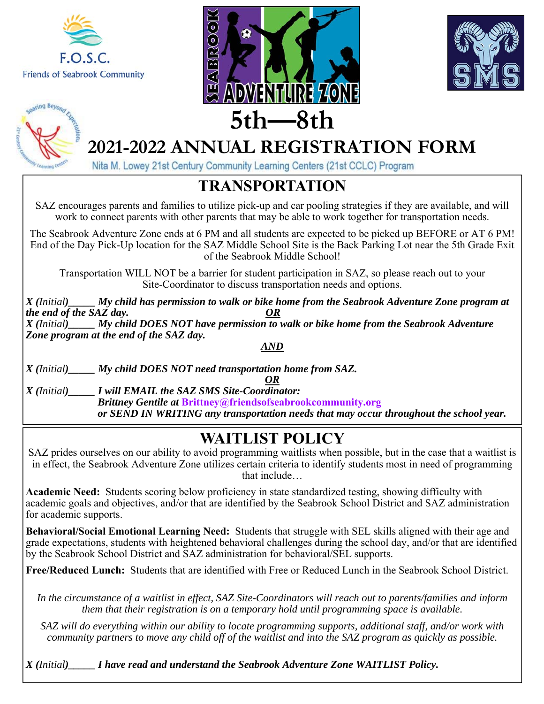







Nita M. Lowey 21st Century Community Learning Centers (21st CCLC) Program

#### **TRANSPORTATION**

SAZ encourages parents and families to utilize pick-up and car pooling strategies if they are available, and will work to connect parents with other parents that may be able to work together for transportation needs.

The Seabrook Adventure Zone ends at 6 PM and all students are expected to be picked up BEFORE or AT 6 PM! End of the Day Pick-Up location for the SAZ Middle School Site is the Back Parking Lot near the 5th Grade Exit of the Seabrook Middle School!

Transportation WILL NOT be a barrier for student participation in SAZ, so please reach out to your Site-Coordinator to discuss transportation needs and options.

*X (Initial)\_\_\_\_\_ My child has permission to walk or bike home from the Seabrook Adventure Zone program at the end of the SAZ day. OR X (Initial)\_\_\_\_\_ My child DOES NOT have permission to walk or bike home from the Seabrook Adventure Zone program at the end of the SAZ day.* 

*AND* 

*X (Initial)\_\_\_\_\_ My child DOES NOT need transportation home from SAZ.* 

*OR* 

*X (Initial)\_\_\_\_\_ I will EMAIL the SAZ SMS Site-Coordinator: Brittney Gentile at* **Brittney@friendsofseabrookcommunity.org**   *or SEND IN WRITING any transportation needs that may occur throughout the school year.* 

### **WAITLIST POLICY**

SAZ prides ourselves on our ability to avoid programming waitlists when possible, but in the case that a waitlist is in effect, the Seabrook Adventure Zone utilizes certain criteria to identify students most in need of programming that include…

**Academic Need:** Students scoring below proficiency in state standardized testing, showing difficulty with academic goals and objectives, and/or that are identified by the Seabrook School District and SAZ administration for academic supports.

**Behavioral/Social Emotional Learning Need:** Students that struggle with SEL skills aligned with their age and grade expectations, students with heightened behavioral challenges during the school day, and/or that are identified by the Seabrook School District and SAZ administration for behavioral/SEL supports.

**Free/Reduced Lunch:** Students that are identified with Free or Reduced Lunch in the Seabrook School District.

*In the circumstance of a waitlist in effect, SAZ Site-Coordinators will reach out to parents/families and inform them that their registration is on a temporary hold until programming space is available.* 

*SAZ will do everything within our ability to locate programming supports, additional staff, and/or work with community partners to move any child off of the waitlist and into the SAZ program as quickly as possible.*

*X (Initial)\_\_\_\_\_ I have read and understand the Seabrook Adventure Zone WAITLIST Policy.*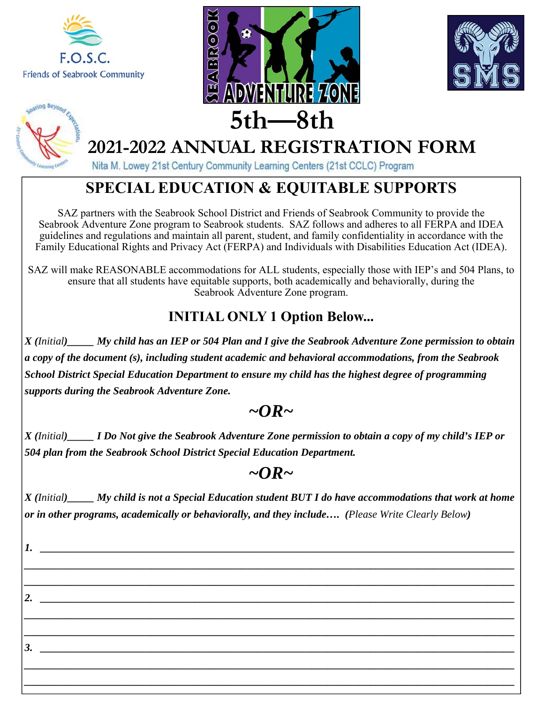







Nita M. Lowey 21st Century Community Learning Centers (21st CCLC) Program

### **SPECIAL EDUCATION & EQUITABLE SUPPORTS**

SAZ partners with the Seabrook School District and Friends of Seabrook Community to provide the Seabrook Adventure Zone program to Seabrook students. SAZ follows and adheres to all FERPA and IDEA guidelines and regulations and maintain all parent, student, and family confidentiality in accordance with the Family Educational Rights and Privacy Act (FERPA) and Individuals with Disabilities Education Act (IDEA).

SAZ will make REASONABLE accommodations for ALL students, especially those with IEP's and 504 Plans, to ensure that all students have equitable supports, both academically and behaviorally, during the Seabrook Adventure Zone program.

#### **INITIAL ONLY 1 Option Below...**

*X (Initial)\_\_\_\_\_ My child has an IEP or 504 Plan and I give the Seabrook Adventure Zone permission to obtain a copy of the document (s), including student academic and behavioral accommodations, from the Seabrook School District Special Education Department to ensure my child has the highest degree of programming supports during the Seabrook Adventure Zone.* 

#### $\sim$ OR $\sim$

*X (Initial)\_\_\_\_\_ I Do Not give the Seabrook Adventure Zone permission to obtain a copy of my child's IEP or 504 plan from the Seabrook School District Special Education Department.*

### *~OR~*

*X (Initial)\_\_\_\_\_ My child is not a Special Education student BUT I do have accommodations that work at home or in other programs, academically or behaviorally, and they include…. (Please Write Clearly Below)* 

*\_\_\_\_\_\_\_\_\_\_\_\_\_\_\_\_\_\_\_\_\_\_\_\_\_\_\_\_\_\_\_\_\_\_\_\_\_\_\_\_\_\_\_\_\_\_\_\_\_\_\_\_\_\_\_\_\_\_\_\_\_\_\_\_\_\_\_\_\_\_\_\_\_\_\_\_\_\_\_\_\_\_\_\_\_\_\_\_\_\_\_\_ \_\_\_\_\_\_\_\_\_\_\_\_\_\_\_\_\_\_\_\_\_\_\_\_\_\_\_\_\_\_\_\_\_\_\_\_\_\_\_\_\_\_\_\_\_\_\_\_\_\_\_\_\_\_\_\_\_\_\_\_\_\_\_\_\_\_\_\_\_\_\_\_\_\_\_\_\_\_\_\_\_\_\_\_\_\_\_\_\_\_\_\_* 

*\_\_\_\_\_\_\_\_\_\_\_\_\_\_\_\_\_\_\_\_\_\_\_\_\_\_\_\_\_\_\_\_\_\_\_\_\_\_\_\_\_\_\_\_\_\_\_\_\_\_\_\_\_\_\_\_\_\_\_\_\_\_\_\_\_\_\_\_\_\_\_\_\_\_\_\_\_\_\_\_\_\_\_\_\_\_\_\_\_\_\_\_ \_\_\_\_\_\_\_\_\_\_\_\_\_\_\_\_\_\_\_\_\_\_\_\_\_\_\_\_\_\_\_\_\_\_\_\_\_\_\_\_\_\_\_\_\_\_\_\_\_\_\_\_\_\_\_\_\_\_\_\_\_\_\_\_\_\_\_\_\_\_\_\_\_\_\_\_\_\_\_\_\_\_\_\_\_\_\_\_\_\_\_\_* 

*\_\_\_\_\_\_\_\_\_\_\_\_\_\_\_\_\_\_\_\_\_\_\_\_\_\_\_\_\_\_\_\_\_\_\_\_\_\_\_\_\_\_\_\_\_\_\_\_\_\_\_\_\_\_\_\_\_\_\_\_\_\_\_\_\_\_\_\_\_\_\_\_\_\_\_\_\_\_\_\_\_\_\_\_\_\_\_\_\_\_\_\_ \_\_\_\_\_\_\_\_\_\_\_\_\_\_\_\_\_\_\_\_\_\_\_\_\_\_\_\_\_\_\_\_\_\_\_\_\_\_\_\_\_\_\_\_\_\_\_\_\_\_\_\_\_\_\_\_\_\_\_\_\_\_\_\_\_\_\_\_\_\_\_\_\_\_\_\_\_\_\_\_\_\_\_\_\_\_\_\_\_\_\_\_* 

*1. \_\_\_\_\_\_\_\_\_\_\_\_\_\_\_\_\_\_\_\_\_\_\_\_\_\_\_\_\_\_\_\_\_\_\_\_\_\_\_\_\_\_\_\_\_\_\_\_\_\_\_\_\_\_\_\_\_\_\_\_\_\_\_\_\_\_\_\_\_\_\_\_\_\_\_\_\_\_\_\_\_\_\_\_\_\_\_\_\_* 

*3.*  $\blacksquare$ 

*2.*  $\blacksquare$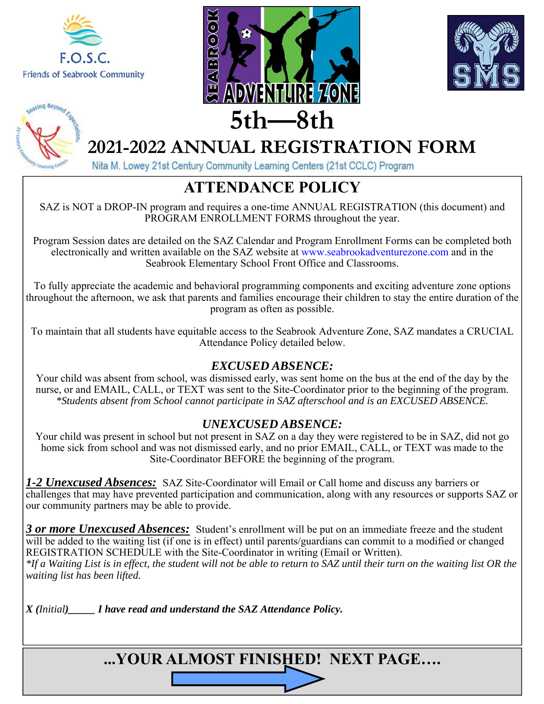

oating Beyon





# **2021-2022 ANNUAL REGISTRATION FORM**

Nita M. Lowey 21st Century Community Learning Centers (21st CCLC) Program

### **ATTENDANCE POLICY**

SAZ is NOT a DROP-IN program and requires a one-time ANNUAL REGISTRATION (this document) and PROGRAM ENROLLMENT FORMS throughout the year.

Program Session dates are detailed on the SAZ Calendar and Program Enrollment Forms can be completed both electronically and written available on the SAZ website at www.seabrookadventurezone.com and in the Seabrook Elementary School Front Office and Classrooms.

To fully appreciate the academic and behavioral programming components and exciting adventure zone options throughout the afternoon, we ask that parents and families encourage their children to stay the entire duration of the program as often as possible.

To maintain that all students have equitable access to the Seabrook Adventure Zone, SAZ mandates a CRUCIAL Attendance Policy detailed below.

#### *EXCUSED ABSENCE:*

Your child was absent from school, was dismissed early, was sent home on the bus at the end of the day by the nurse, or and EMAIL, CALL, or TEXT was sent to the Site-Coordinator prior to the beginning of the program. *\*Students absent from School cannot participate in SAZ afterschool and is an EXCUSED ABSENCE.* 

#### *UNEXCUSED ABSENCE:*

Your child was present in school but not present in SAZ on a day they were registered to be in SAZ, did not go home sick from school and was not dismissed early, and no prior EMAIL, CALL, or TEXT was made to the Site-Coordinator BEFORE the beginning of the program.

*1-2 Unexcused Absences:* SAZ Site-Coordinator will Email or Call home and discuss any barriers or challenges that may have prevented participation and communication, along with any resources or supports SAZ or our community partners may be able to provide.

*3 or more Unexcused Absences:* Student's enrollment will be put on an immediate freeze and the student will be added to the waiting list (if one is in effect) until parents/guardians can commit to a modified or changed REGISTRATION SCHEDULE with the Site-Coordinator in writing (Email or Written). *\*If a Waiting List is in effect, the student will not be able to return to SAZ until their turn on the waiting list OR the waiting list has been lifted.*

*X (Initial)\_\_\_\_\_ I have read and understand the SAZ Attendance Policy.*

**...YOUR ALMOST FINISHED! NEXT PAGE….**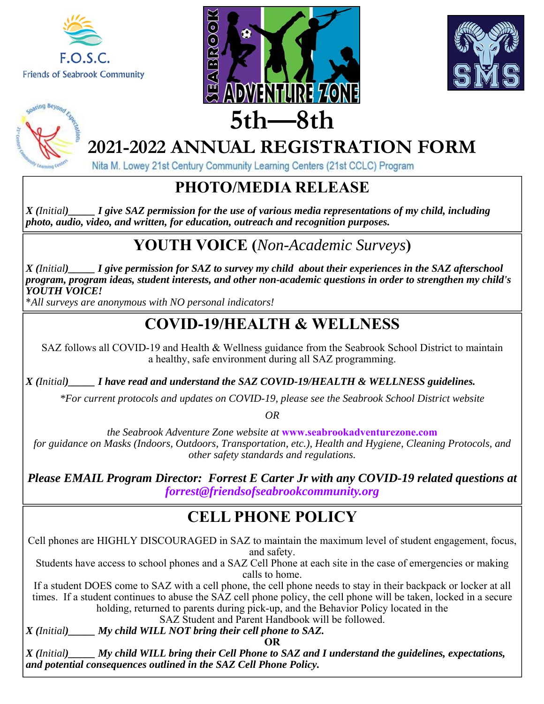







Nita M. Lowey 21st Century Community Learning Centers (21st CCLC) Program

#### **PHOTO/MEDIA RELEASE**

*X (Initial)\_\_\_\_\_ I give SAZ permission for the use of various media representations of my child, including photo, audio, video, and written, for education, outreach and recognition purposes.*

# **YOUTH VOICE (***Non-Academic Surveys***)**

*X (Initial)\_\_\_\_\_ I give permission for SAZ to survey my child about their experiences in the SAZ afterschool program, program ideas, student interests, and other non-academic questions in order to strengthen my child's YOUTH VOICE!* 

\**All surveys are anonymous with NO personal indicators!*

#### **COVID-19/HEALTH & WELLNESS**

SAZ follows all COVID-19 and Health & Wellness guidance from the Seabrook School District to maintain a healthy, safe environment during all SAZ programming.

*X (Initial)\_\_\_\_\_ I have read and understand the SAZ COVID-19/HEALTH & WELLNESS guidelines.* 

*\*For current protocols and updates on COVID-19, please see the Seabrook School District website* 

*OR* 

*the Seabrook Adventure Zone website at* **www.seabrookadventurezone.com**  *for guidance on Masks (Indoors, Outdoors, Transportation, etc.), Health and Hygiene, Cleaning Protocols, and other safety standards and regulations.*

*Please EMAIL Program Director: Forrest E Carter Jr with any COVID-19 related questions at forrest@friendsofseabrookcommunity.org* 

### **CELL PHONE POLICY**

Cell phones are HIGHLY DISCOURAGED in SAZ to maintain the maximum level of student engagement, focus, and safety.

Students have access to school phones and a SAZ Cell Phone at each site in the case of emergencies or making calls to home.

If a student DOES come to SAZ with a cell phone, the cell phone needs to stay in their backpack or locker at all times. If a student continues to abuse the SAZ cell phone policy, the cell phone will be taken, locked in a secure holding, returned to parents during pick-up, and the Behavior Policy located in the

SAZ Student and Parent Handbook will be followed.

*X (Initial)\_\_\_\_\_ My child WILL NOT bring their cell phone to SAZ.*  **OR** 

*X (Initial)\_\_\_\_\_ My child WILL bring their Cell Phone to SAZ and I understand the guidelines, expectations, and potential consequences outlined in the SAZ Cell Phone Policy.*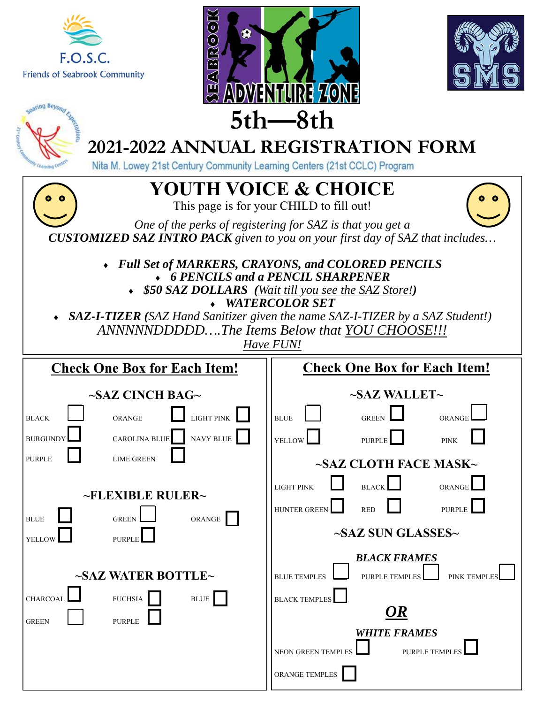





| <b>WAY TINIGINI LAND</b><br>$5th$ $-8th$                                                                                                                                  |                                                                                                                                                                                                                                                                         |                                                                                                                                                                                                                                                                                                                                                                                                              |  |  |  |
|---------------------------------------------------------------------------------------------------------------------------------------------------------------------------|-------------------------------------------------------------------------------------------------------------------------------------------------------------------------------------------------------------------------------------------------------------------------|--------------------------------------------------------------------------------------------------------------------------------------------------------------------------------------------------------------------------------------------------------------------------------------------------------------------------------------------------------------------------------------------------------------|--|--|--|
| <b>2021-2022 ANNUAL REGISTRATION FORM</b><br>Nita M. Lowey 21st Century Community Learning Centers (21st CCLC) Program                                                    |                                                                                                                                                                                                                                                                         |                                                                                                                                                                                                                                                                                                                                                                                                              |  |  |  |
| <b>YOUTH VOICE &amp; CHOICE</b><br>This page is for your CHILD to fill out!                                                                                               |                                                                                                                                                                                                                                                                         |                                                                                                                                                                                                                                                                                                                                                                                                              |  |  |  |
| One of the perks of registering for SAZ is that you get a<br><b>CUSTOMIZED SAZ INTRO PACK</b> given to you on your first day of SAZ that includes                         |                                                                                                                                                                                                                                                                         |                                                                                                                                                                                                                                                                                                                                                                                                              |  |  |  |
| Full Set of MARKERS, CRAYONS, and COLORED PENCILS<br>• 6 PENCILS and a PENCIL SHARPENER<br>• \$50 SAZ DOLLARS (Wait till you see the SAZ Store!)<br><b>WATERCOLOR SET</b> |                                                                                                                                                                                                                                                                         |                                                                                                                                                                                                                                                                                                                                                                                                              |  |  |  |
| • SAZ-I-TIZER (SAZ Hand Sanitizer given the name SAZ-I-TIZER by a SAZ Student!)<br>ANNNNNDDDDDThe Items Below that YOU CHOOSE!!!<br>Have FUN!                             |                                                                                                                                                                                                                                                                         |                                                                                                                                                                                                                                                                                                                                                                                                              |  |  |  |
| <b>Check One Box for Each Item!</b>                                                                                                                                       |                                                                                                                                                                                                                                                                         | <b>Check One Box for Each Item!</b>                                                                                                                                                                                                                                                                                                                                                                          |  |  |  |
| <b>BLACK</b><br><b>BURGUNDY</b><br><b>PURPLE</b><br><b>BLUE</b><br>YELLOW<br><b>CHARCOAL</b>                                                                              | $\sim$ SAZ CINCH BAG $\sim$<br><b>LIGHT PINK</b><br><b>ORANGE</b><br>NAVY BLUE<br>CAROLINA BLUE<br><b>LIME GREEN</b><br><b>-FLEXIBLE RULER-</b><br>ORANGE<br><b>GREEN</b><br><b>PURPLE</b><br>$\sim$ SAZ WATER BOTTLE $\sim$<br><b>FUCHSIA</b><br>$\operatorname{BLUE}$ | $\sim$ SAZ WALLET $\sim$<br><b>BLUE</b><br><b>GREEN</b><br>ORANGE<br>YELLOW<br><b>PURPLE</b><br><b>PINK</b><br>$\sim$ SAZ CLOTH FACE MASK $\sim$<br><b>LIGHT PINK</b><br><b>BLACK</b><br>ORANGE<br><b>HUNTER GREEN</b><br><b>RED</b><br><b>PURPLE</b><br>$\sim$ SAZ SUN GLASSES $\sim$<br><b>BLACK FRAMES</b><br><b>BLUE TEMPLES</b><br><b>PINK TEMPLES</b><br><b>PURPLE TEMPLES</b><br><b>BLACK TEMPLES</b> |  |  |  |
| <b>GREEN</b>                                                                                                                                                              | <b>PURPLE</b>                                                                                                                                                                                                                                                           | (JR<br><b>WHITE FRAMES</b><br><b>NEON GREEN TEMPLES</b><br><b>PURPLE TEMPLE</b><br>ORANGE TEMPLES                                                                                                                                                                                                                                                                                                            |  |  |  |